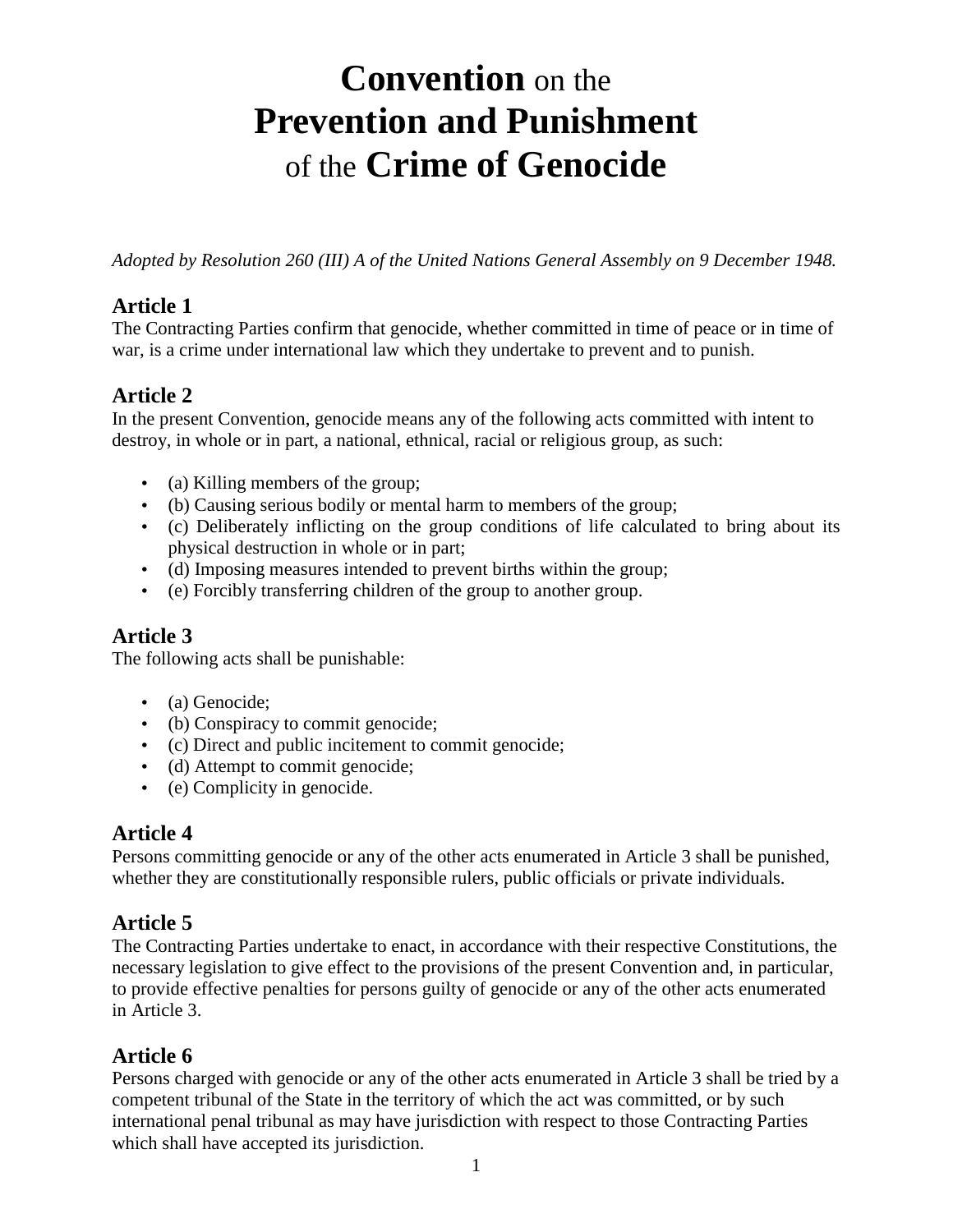# **Convention** on the **Prevention and Punishment**  of the **Crime of Genocide**

*Adopted by Resolution 260 (III) A of the United Nations General Assembly on 9 December 1948.*

#### **Article 1**

The Contracting Parties confirm that genocide, whether committed in time of peace or in time of war, is a crime under international law which they undertake to prevent and to punish.

# **Article 2**

In the present Convention, genocide means any of the following acts committed with intent to destroy, in whole or in part, a national, ethnical, racial or religious group, as such:

- (a) Killing members of the group;
- (b) Causing serious bodily or mental harm to members of the group;
- (c) Deliberately inflicting on the group conditions of life calculated to bring about its physical destruction in whole or in part;
- (d) Imposing measures intended to prevent births within the group;
- (e) Forcibly transferring children of the group to another group.

# **Article 3**

The following acts shall be punishable:

- (a) Genocide:
- (b) Conspiracy to commit genocide;
- (c) Direct and public incitement to commit genocide;
- (d) Attempt to commit genocide;
- (e) Complicity in genocide.

#### **Article 4**

Persons committing genocide or any of the other acts enumerated in Article 3 shall be punished, whether they are constitutionally responsible rulers, public officials or private individuals.

# **Article 5**

The Contracting Parties undertake to enact, in accordance with their respective Constitutions, the necessary legislation to give effect to the provisions of the present Convention and, in particular, to provide effective penalties for persons guilty of genocide or any of the other acts enumerated in Article 3.

# **Article 6**

Persons charged with genocide or any of the other acts enumerated in Article 3 shall be tried by a competent tribunal of the State in the territory of which the act was committed, or by such international penal tribunal as may have jurisdiction with respect to those Contracting Parties which shall have accepted its jurisdiction.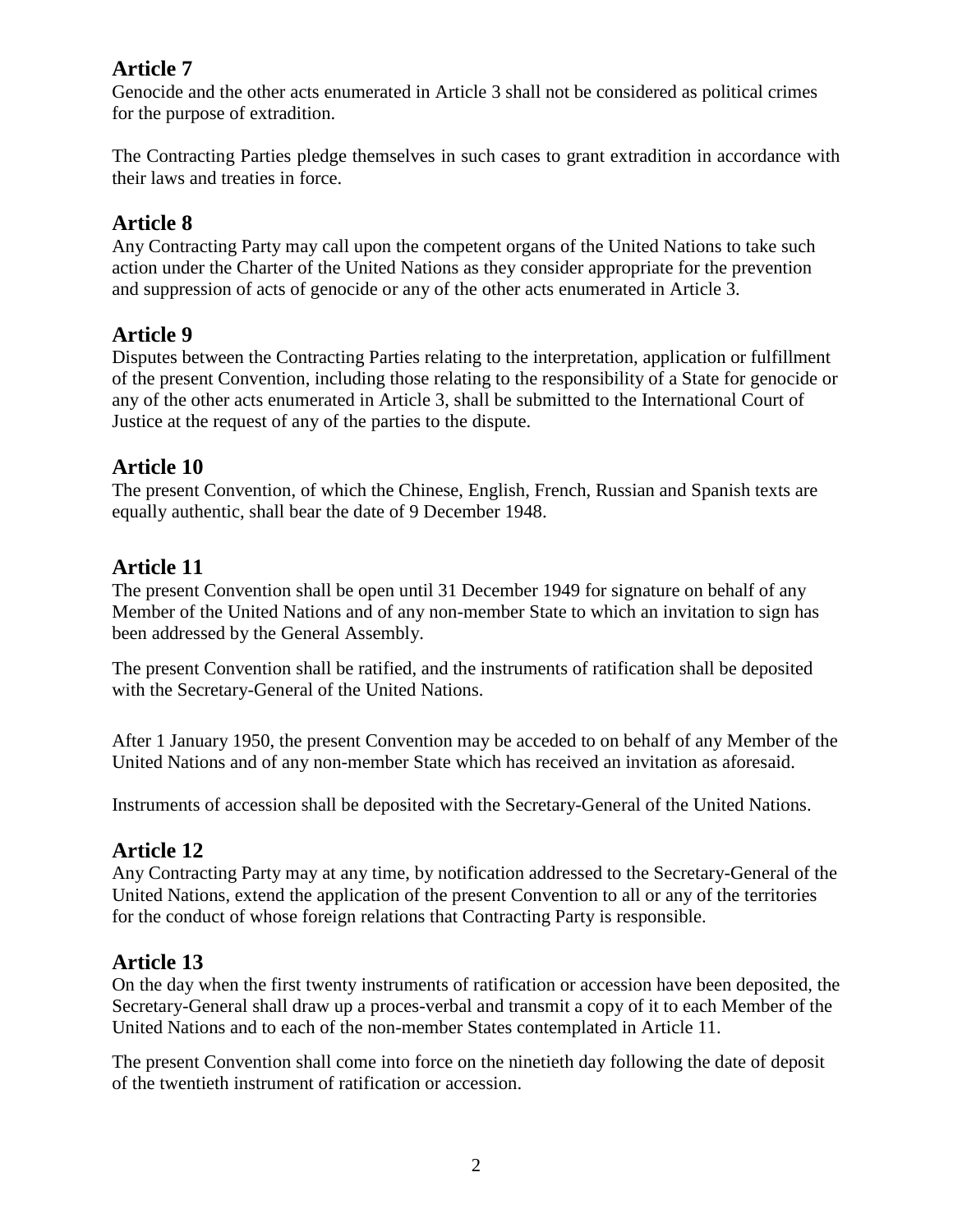# **Article 7**

Genocide and the other acts enumerated in Article 3 shall not be considered as political crimes for the purpose of extradition.

The Contracting Parties pledge themselves in such cases to grant extradition in accordance with their laws and treaties in force.

# **Article 8**

Any Contracting Party may call upon the competent organs of the United Nations to take such action under the Charter of the United Nations as they consider appropriate for the prevention and suppression of acts of genocide or any of the other acts enumerated in Article 3.

#### **Article 9**

Disputes between the Contracting Parties relating to the interpretation, application or fulfillment of the present Convention, including those relating to the responsibility of a State for genocide or any of the other acts enumerated in Article 3, shall be submitted to the International Court of Justice at the request of any of the parties to the dispute.

#### **Article 10**

The present Convention, of which the Chinese, English, French, Russian and Spanish texts are equally authentic, shall bear the date of 9 December 1948.

# **Article 11**

The present Convention shall be open until 31 December 1949 for signature on behalf of any Member of the United Nations and of any non-member State to which an invitation to sign has been addressed by the General Assembly.

The present Convention shall be ratified, and the instruments of ratification shall be deposited with the Secretary-General of the United Nations.

After 1 January 1950, the present Convention may be acceded to on behalf of any Member of the United Nations and of any non-member State which has received an invitation as aforesaid.

Instruments of accession shall be deposited with the Secretary-General of the United Nations.

# **Article 12**

Any Contracting Party may at any time, by notification addressed to the Secretary-General of the United Nations, extend the application of the present Convention to all or any of the territories for the conduct of whose foreign relations that Contracting Party is responsible.

# **Article 13**

On the day when the first twenty instruments of ratification or accession have been deposited, the Secretary-General shall draw up a proces-verbal and transmit a copy of it to each Member of the United Nations and to each of the non-member States contemplated in Article 11.

The present Convention shall come into force on the ninetieth day following the date of deposit of the twentieth instrument of ratification or accession.